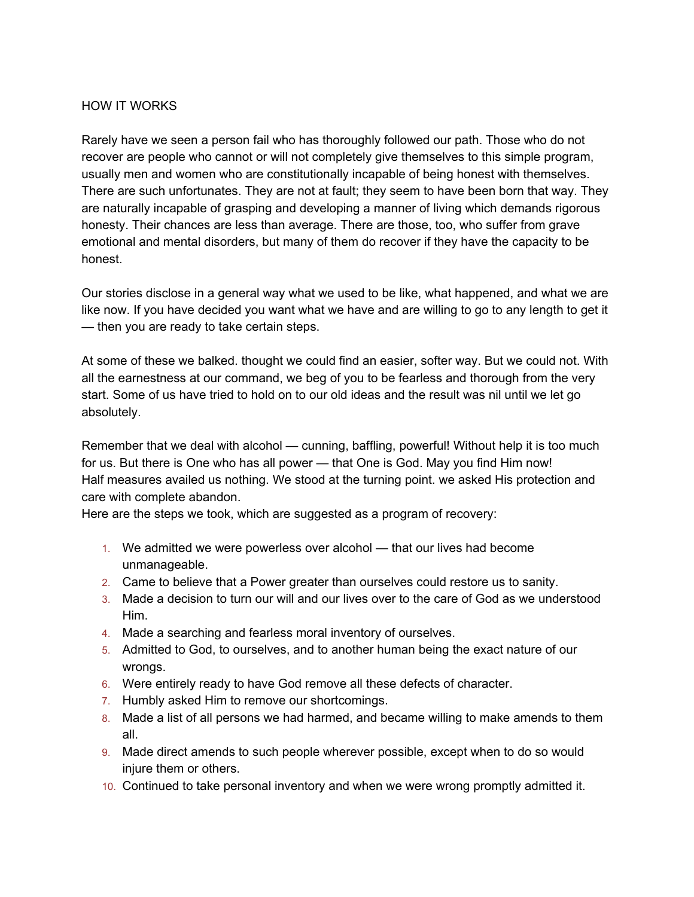## HOW IT WORKS

Rarely have we seen a person fail who has thoroughly followed our path. Those who do not recover are people who cannot or will not completely give themselves to this simple program, usually men and women who are constitutionally incapable of being honest with themselves. There are such unfortunates. They are not at fault; they seem to have been born that way. They are naturally incapable of grasping and developing a manner of living which demands rigorous honesty. Their chances are less than average. There are those, too, who suffer from grave emotional and mental disorders, but many of them do recover if they have the capacity to be honest.

Our stories disclose in a general way what we used to be like, what happened, and what we are like now. If you have decided you want what we have and are willing to go to any length to get it — then you are ready to take certain steps.

At some of these we balked. thought we could find an easier, softer way. But we could not. With all the earnestness at our command, we beg of you to be fearless and thorough from the very start. Some of us have tried to hold on to our old ideas and the result was nil until we let go absolutely.

Remember that we deal with alcohol — cunning, baffling, powerful! Without help it is too much for us. But there is One who has all power — that One is God. May you find Him now! Half measures availed us nothing. We stood at the turning point. we asked His protection and care with complete abandon.

Here are the steps we took, which are suggested as a program of recovery:

- 1. We admitted we were powerless over alcohol that our lives had become unmanageable.
- 2. Came to believe that a Power greater than ourselves could restore us to sanity.
- 3. Made a decision to turn our will and our lives over to the care of God as we understood Him.
- 4. Made a searching and fearless moral inventory of ourselves.
- 5. Admitted to God, to ourselves, and to another human being the exact nature of our wrongs.
- 6. Were entirely ready to have God remove all these defects of character.
- 7. Humbly asked Him to remove our shortcomings.
- 8. Made a list of all persons we had harmed, and became willing to make amends to them all.
- 9. Made direct amends to such people wherever possible, except when to do so would injure them or others.
- 10. Continued to take personal inventory and when we were wrong promptly admitted it.